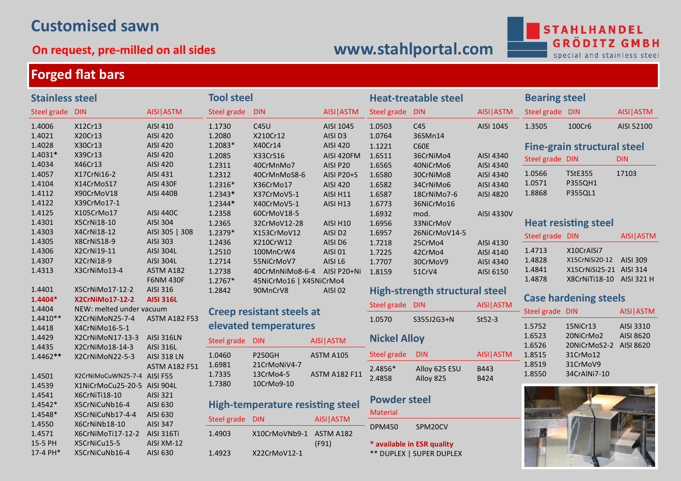# **Customised sawn**

## **On request, pre-milled on all sides**

# **[www.stahlportal.com](http://www.stahlportal.com)**

**STAHLHANDEL GRÖDI MBH** G special and stainless steel

V.

and the state of the state of the

# **Forged flat bars**

| <b>Stainless steel</b>       |                                                            |                                      | <b>Tool steel</b>                       |                                         |                                 | <b>Heat-treatable steel</b> |                                       |                        | <b>Bearing steel</b> |                                                     |            |
|------------------------------|------------------------------------------------------------|--------------------------------------|-----------------------------------------|-----------------------------------------|---------------------------------|-----------------------------|---------------------------------------|------------------------|----------------------|-----------------------------------------------------|------------|
| Steel grade DIN              |                                                            | AISI ASTM                            | Steel grade                             | <b>DIN</b>                              | AISI ASTM                       | Steel grade DIN             |                                       | AISI ASTM              | Steel grade DIN      |                                                     | AISI ASTM  |
| 1.4006<br>1.4021             | X12Cr13<br>X20Cr13                                         | <b>AISI 410</b><br>AISI 420          | 1.1730<br>1.2080                        | C45U<br>X210Cr12                        | AISI 1045<br>AISI D3            | 1.0503<br>1.0764            | C45<br>36SMn14                        | AISI 1045              | 1.3505               | 100Cr6                                              | AISI 52100 |
| 1.4028<br>$1.4031*$          | X30Cr13<br>X39Cr13                                         | AISI 420<br>AISI 420                 | 1.2083*<br>1.2085                       | X40Cr14<br>X33CrS16                     | <b>AISI 420</b><br>AISI 420FM   | 1.1221<br>1.6511            | C60E<br>36CrNiMo4                     | AISI 4340              |                      | <b>Fine-grain structural steel</b>                  |            |
| 1.4034                       | X46Cr13                                                    | AISI 420                             | 1.2311                                  | 40CrMnMo7                               | AISI P20                        | 1.6565                      | 40NiCrMo6                             | AISI 4340              | Steel grade DIN      |                                                     | <b>DIN</b> |
| 1.4057                       | X17CrNi16-2                                                | AISI 431                             | 1.2312                                  | 40CrMnMoS8-6                            | <b>AISI P20+S</b>               | 1.6580                      | 30CrNiMo8                             | AISI 4340              | 1.0566               | <b>TStE355</b>                                      | 17103      |
| 1.4104<br>1.4112             | X14CrMoS17<br>X90CrMoV18                                   | <b>AISI 430F</b><br><b>AISI 440B</b> | $1.2316*$<br>$1.2343*$                  | X36CrMo17<br>X37CrMoV5-1                | AISI 420<br><b>AISI H11</b>     | 1.6582<br>1.6587            | 34CrNiMo6<br>18CrNiMo7-6              | AISI 4340<br>AISI 4820 | 1.0571<br>1.8868     | P355QH1<br>P355QL1                                  |            |
| 1.4122                       | X39CrMo17-1                                                |                                      | $1.2344*$                               | X40CrMoV5-1                             | AISI H13                        | 1.6773                      | 36NiCrMo16                            |                        |                      |                                                     |            |
| 1.4125<br>1.4301             | X105CrMo17<br>X5CrNi18-10                                  | <b>AISI 440C</b><br>AISI 304         | 1.2358<br>1.2365                        | 60CrMoV18-5<br>32CrMoV12-28             | <b>AISI H10</b>                 | 1.6932<br>1.6956            | mod.<br>33NiCrMoV                     | AISI 4330V             |                      | <b>Heat resisting steel</b>                         |            |
| 1.4303                       | X4CrNi18-12                                                | AISI 305   308                       | 1.2379*                                 | X153CrMoV12                             | AISI D <sub>2</sub>             | 1.6957                      | 26NiCrMoV14-5                         |                        | Steel grade DIN      |                                                     | AISI ASTM  |
| 1.4305<br>1.4306             | X8CrNiS18-9                                                | AISI 303<br><b>AISI 304L</b>         | 1.2436                                  | X210CrW12                               | AISI D6                         | 1.7218                      | 25CrMo4                               | AISI 4130              | 1.4713               | X10CrAlSi7                                          |            |
| 1.4307                       | X2CrNi19-11<br>X2CrNi18-9                                  | <b>AISI 304L</b>                     | 1.2510<br>1.2714                        | 100MnCrW4<br>55NiCrMoV7                 | AISI 01<br>AISI L6              | 1.7225<br>1.7707            | 42CrMo4<br>30CrMoV9                   | AISI 4140<br>AISI 4340 | 1.4828               | X15CrNiSi20-12                                      | AISI 309   |
| 1.4313                       | X3CrNiMo13-4                                               | ASTM A182<br><b>F6NM 430F</b>        | 1.2738                                  | 40CrMnNiMo8-6-4                         | AISI P20+Ni                     | 1.8159                      | 51CrV4                                | AISI 6150              | 1.4841<br>1.4878     | X15CrNiSi25-21 AISI 314<br>X8CrNiTi18-10 AISI 321 H |            |
| 1.4401                       | X5CrNiMo17-12-2                                            | AISI 316                             | $1.2767*$<br>1.2842                     | 45NiCrMo16   X45NiCrMo4<br>90MnCrV8     | <b>AISI 02</b>                  |                             | <b>High-strength structural steel</b> |                        |                      |                                                     |            |
| 1.4404*                      | X2CrNiMo17-12-2                                            | <b>AISI 316L</b>                     |                                         |                                         |                                 | Steel grade DIN             |                                       | AISI ASTM              |                      | <b>Case hardening steels</b>                        |            |
| 1.4404<br>$1.4410**$         | NEW: melted under vacuum<br>X2CrNiMoN25-7-4                | <b>ASTM A182 F53</b>                 |                                         | <b>Creep resistant steels at</b>        |                                 | 1.0570                      | S355J2G3+N                            | $St52-3$               | Steel grade DIN      |                                                     | AISI ASTM  |
| 1.4418                       | X4CrNiMo16-5-1                                             |                                      |                                         | elevated temperatures                   |                                 |                             |                                       |                        | 1.5752               | 15NiCr13                                            | AISI 3310  |
| 1.4429<br>1.4435             | X2CrNiMoN17-13-3<br>X2CrNiMo18-14-3                        | <b>AISI 316LN</b><br>AISI 316L       | Steel grade DIN                         |                                         | AISI ASTM                       | <b>Nickel Alloy</b>         |                                       |                        | 1.6523<br>1.6526     | 20NiCrMo2<br>20NiCrMoS2-2 AISI 8620                 | AISI 8620  |
| 1.4462**                     | X2CrNiMoN22-5-3                                            | <b>AISI 318 LN</b>                   | 1.0460                                  | <b>P250GH</b>                           | ASTM A105                       | Steel grade                 | <b>DIN</b>                            | AISI ASTM              | 1.8515               | 31CrMo12                                            |            |
| 1.4501<br>1.4539             | X2CrNiMoCuWN25-7-4 AISI F55<br>X1NiCrMoCu25-20-5 AISI 904L | <b>ASTM A182 F51</b>                 | 1.6981<br>1.7335<br>1.7380              | 21CrMoNiV4-7<br>13CrMo4-5<br>10CrMo9-10 | <b>ASTM A182 F11</b>            | 2.4856*<br>2.4858           | Alloy 625 ESU<br>Alloy 825            | B443<br>B424           | 1.8519<br>1.8550     | 31CrMoV9<br>34CrAlNi7-10                            |            |
| 1.4541<br>1.4542*<br>1.4548* | X6CrNiTi18-10<br>X5CrNiCuNb16-4<br>X5CrNiCuNb17-4-4        | AISI 321<br>AISI 630<br>AISI 630     | <b>High-temperature resisting steel</b> |                                         | <b>Powder steel</b><br>Material |                             |                                       |                        |                      |                                                     |            |
| 1.4550                       | X6CrNiNb18-10                                              | <b>AISI 347</b>                      | Steel grade DIN                         |                                         | AISI ASTM                       | <b>DPM450</b>               | SPM20CV                               |                        |                      |                                                     |            |
| 1.4571<br>15-5 PH            | X6CrNiMoTi17-12-2<br>X5CrNiCu15-5                          | <b>AISI 316Ti</b><br>AISI XM-12      | 1.4903                                  | X10CrMoVNb9-1                           | ASTM A182<br>(F91)              |                             | * available in ESR quality            |                        |                      |                                                     |            |
| 17-4 PH*                     | X5CrNiCuNb16-4                                             | AISI 630                             | 1.4923                                  | X22CrMoV12-1                            |                                 |                             | ** DUPLEX   SUPER DUPLEX              |                        |                      |                                                     |            |